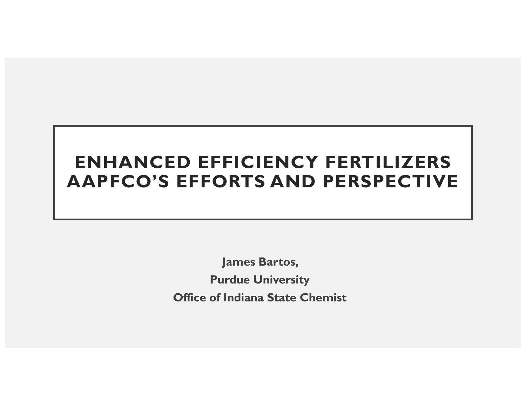#### **ENHANCED EFFICIENCY FERTILIZERS AAPFCO'S EFFORTS AND PERSPECTIVE**

**James Bartos, Purdue University Office of Indiana State Chemist**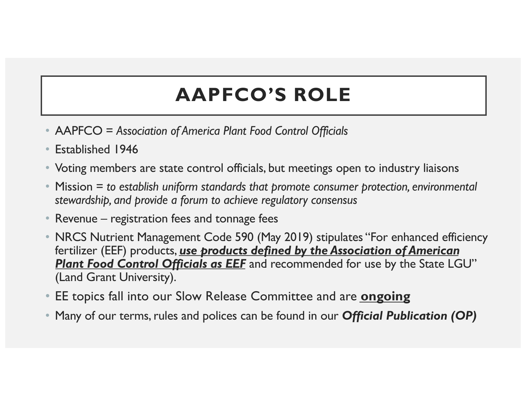# **AAPFCO'S ROLE**

- AAPFCO = *Association of America Plant Food Control Officials*
- Established 1946
- Voting members are state control officials, but meetings open to industry liaisons
- Mission = *to establish uniform standards that promote consumer protection, environmental stewardship, and provide a forum to achieve regulatory consensus*
- Revenue registration fees and tonnage fees
- NRCS Nutrient Management Code 590 (May 2019) stipulates "For enhanced efficiency fertilizer (EEF) products, *use products defined by the Association of American*  **Plant Food Control Officials as EEF** and recommended for use by the State LGU" (Land Grant University).
- EE topics fall into our Slow Release Committee and are **ongoing**
- Many of our terms, rules and polices can be found in our *Official Publication (OP)*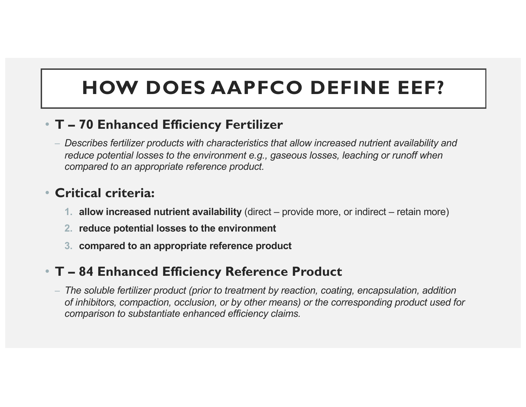## **HOW DOES AAPFCO DEFINE EEF?**

#### • **T – 70 Enhanced Efficiency Fertilizer**

– *Describes fertilizer products with characteristics that allow increased nutrient availability and reduce potential losses to the environment e.g., gaseous losses, leaching or runoff when compared to an appropriate reference product.*

#### • **Critical criteria:**

- **1. allow increased nutrient availability** (direct provide more, or indirect retain more)
- **2. reduce potential losses to the environment**
- **3. compared to an appropriate reference product**

#### • **T – 84 Enhanced Efficiency Reference Product**

– *The soluble fertilizer product (prior to treatment by reaction, coating, encapsulation, addition of inhibitors, compaction, occlusion, or by other means) or the corresponding product used for comparison to substantiate enhanced efficiency claims.*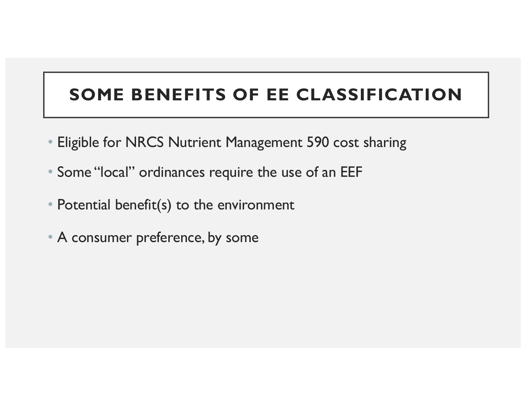#### **SOME BENEFITS OF EE CLASSIFICATION**

- Eligible for NRCS Nutrient Management 590 cost sharing
- Some "local" ordinances require the use of an EEF
- Potential benefit(s) to the environment
- A consumer preference, by some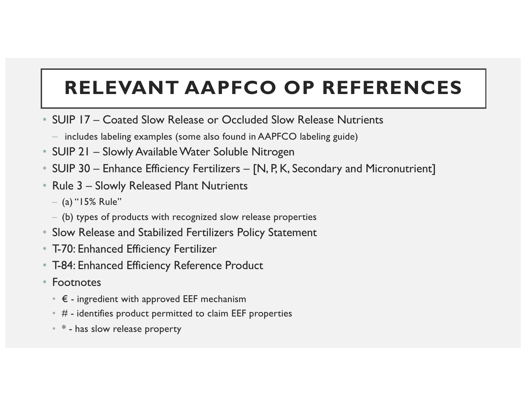# **RELEVANT AAPFCO OP REFERENCES**

- SUIP 17 Coated Slow Release or Occluded Slow Release Nutrients
	- includes labeling examples (some also found in AAPFCO labeling guide)
- SUIP 21 Slowly Available Water Soluble Nitrogen
- SUIP 30 Enhance Efficiency Fertilizers [N, P, K, Secondary and Micronutrient]
- Rule 3 Slowly Released Plant Nutrients
	- $-$  (a) "15% Rule"
	- (b) types of products with recognized slow release properties
- Slow Release and Stabilized Fertilizers Policy Statement
- T-70: Enhanced Efficiency Fertilizer
- T-84: Enhanced Efficiency Reference Product
- Footnotes
	- $\epsilon$  ingredient with approved EEF mechanism
	- $*$  # identifies product permitted to claim EEF properties
	- $*$  has slow release property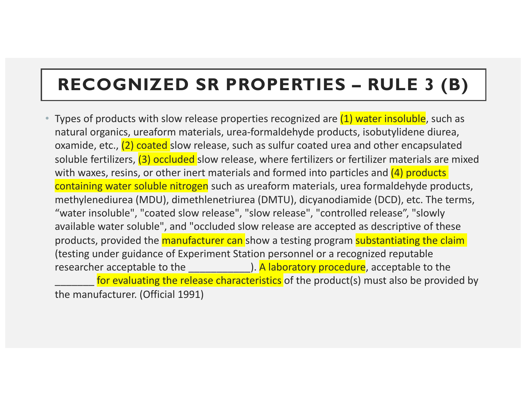#### **RECOGNIZED SR PROPERTIES – RULE 3 (B)**

• Types of products with slow release properties recognized are (1) water insoluble, such as natural organics, ureaform materials, urea-formaldehyde products, isobutylidene diurea, oxamide, etc., (2) coated slow release, such as sulfur coated urea and other encapsulated soluble fertilizers, (3) occluded slow release, where fertilizers or fertilizer materials are mixed with waxes, resins, or other inert materials and formed into particles and (4) products containing water soluble nitrogen such as ureaform materials, urea formaldehyde products, methylenediurea (MDU), dimethlenetriurea (DMTU), dicyanodiamide (DCD), etc. The terms, "water insoluble", "coated slow release", "slow release", "controlled release", "slowly available water soluble", and "occluded slow release are accepted as descriptive of these products, provided the manufacturer can show a testing program substantiating the claim (testing under guidance of Experiment Station personnel or a recognized reputable researcher acceptable to the **A** laboratory procedure, acceptable to the for evaluating the release characteristics of the product(s) must also be provided by the manufacturer. (Official 1991)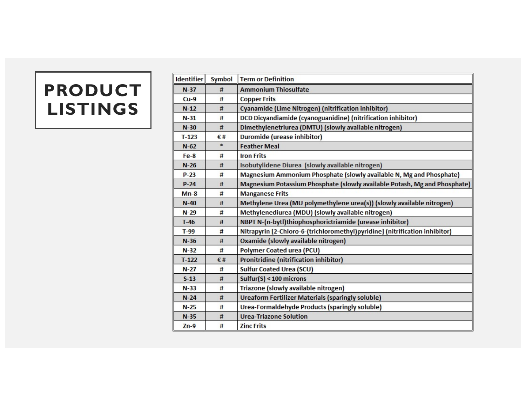#### **PRODUCT LISTINGS**

| <b>Identifier</b> | <b>Symbol</b> | <b>Term or Definition</b>                                                   |
|-------------------|---------------|-----------------------------------------------------------------------------|
| $N-37$            | #             | <b>Ammonium Thiosulfate</b>                                                 |
| $Cu-9$            | #             | <b>Copper Frits</b>                                                         |
| $N-12$            | #             | Cyanamide (Lime Nitrogen) (nitrification inhibitor)                         |
| $N-31$            | $\sharp$      | DCD Dicyandiamide (cyanoguanidine) (nitrification inhibitor)                |
| $N-30$            | #             | Dimethylenetriurea (DMTU) (slowly available nitrogen)                       |
| $T-123$           | €#            | Duromide (urease inhibitor)                                                 |
| $N-62$            | $\ast$        | <b>Feather Meal</b>                                                         |
| $Fe-8$            | #             | <b>Iron Frits</b>                                                           |
| $N-26$            | #             | Isobutylidene Diurea (slowly available nitrogen)                            |
| $P-23$            | #             | Magnesium Ammonium Phosphate (slowly available N, Mg and Phosphate)         |
| $P-24$            | #             | Magnesium Potassium Phosphate (slowly available Potash, Mg and Phosphate)   |
| $Mn-8$            | #             | <b>Manganese Frits</b>                                                      |
| $N-40$            | #             | Methylene Urea (MU polymethylene urea(s)) (slowly available nitrogen)       |
| $N-29$            | #             | Methylenediurea (MDU) (slowly available nitrogen)                           |
| $T-46$            | #             | NBPT N-(n-bytl)thiophosphorictriamide (urease inhibitor)                    |
| $T-99$            | #             | Nitrapyrin [2-Chloro-6-(trichloromethyl)pyridine] (nitrification inhibitor) |
| $N-36$            | #             | Oxamide (slowly available nitrogen)                                         |
| $N-32$            | #             | <b>Polymer Coated urea (PCU)</b>                                            |
| $T-122$           | €#            | <b>Pronitridine (nitrification inhibitor)</b>                               |
| $N-27$            | #             | <b>Sulfur Coated Urea (SCU)</b>                                             |
| $S-13$            | #             | Sulfur(S) < $100$ microns                                                   |
| $N-33$            | #             | Triazone (slowly available nitrogen)                                        |
| $N-24$            | #             | <b>Ureaform Fertilizer Materials (sparingly soluble)</b>                    |
| $N-25$            | #             | Urea-Formaldehyde Products (sparingly soluble)                              |
| $N-35$            | #             | <b>Urea-Triazone Solution</b>                                               |
| $Zn-9$            | #             | <b>Zinc Frits</b>                                                           |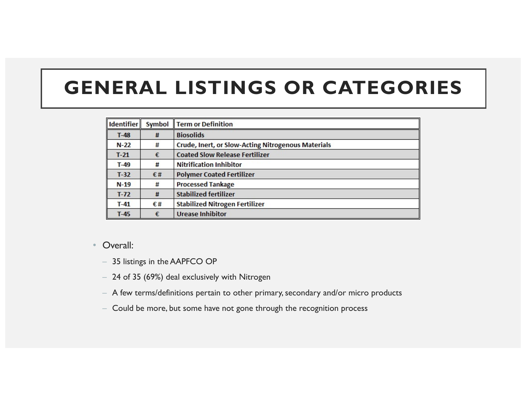### **GENERAL LISTINGS OR CATEGORIES**

| <b>Identifier</b> | Symbol | <b>Term or Definition</b>                                 |
|-------------------|--------|-----------------------------------------------------------|
| $T-48$            | #      | <b>Biosolids</b>                                          |
| $N-22$            | #      | <b>Crude, Inert, or Slow-Acting Nitrogenous Materials</b> |
| $T-21$            | €      | <b>Coated Slow Release Fertilizer</b>                     |
| $T-49$            | #      | <b>Nitrification Inhibitor</b>                            |
| $T-32$            | €#     | <b>Polymer Coated Fertilizer</b>                          |
| $N-19$            | #      | <b>Processed Tankage</b>                                  |
| $T-72$            | #      | <b>Stabilized fertilizer</b>                              |
| $T-41$            | €#     | <b>Stabilized Nitrogen Fertilizer</b>                     |
| $T-45$            | €      | <b>Urease Inhibitor</b>                                   |

#### • Overall:

- 35 listings in the AAPFCO OP
- 24 of 35 (69%) deal exclusively with Nitrogen
- A few terms/definitions pertain to other primary, secondary and/or micro products
- Could be more, but some have not gone through the recognition process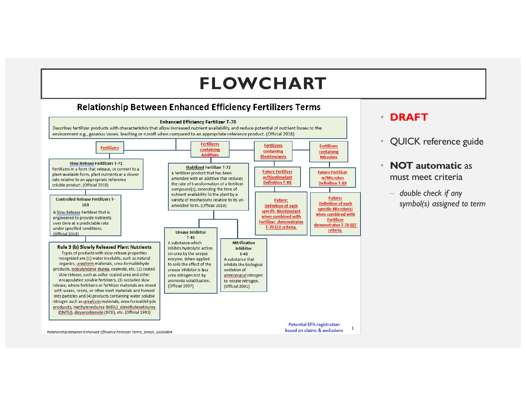#### **FLOWCHART**

#### **Relationship Between Enhanced Efficiency Fertilizers Terms**



#### • **DRAFT**

QUICK reference guide

#### • **NOT automatic** as must meet criteria

– *double check if any symbol(s) assigned to term*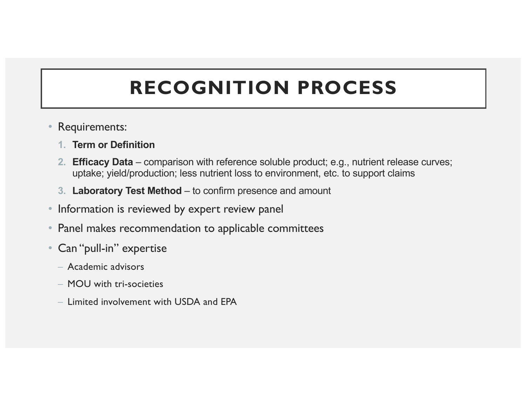# **RECOGNITION PROCESS**

- Requirements:
	- **1. Term or Definition**
	- **2. Efficacy Data**  comparison with reference soluble product; e.g., nutrient release curves; uptake; yield/production; less nutrient loss to environment, etc. to support claims
	- **3. Laboratory Test Method**  to confirm presence and amount
- Information is reviewed by expert review panel
- Panel makes recommendation to applicable committees
- Can "pull-in" expertise
	- Academic advisors
	- MOU with tri-societies
	- Limited involvement with USDA and EPA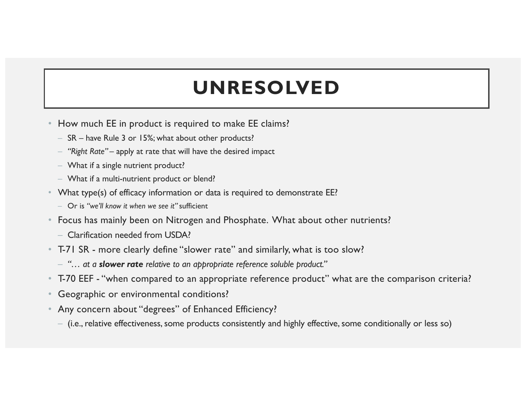## **UNRESOLVED**

- How much EE in product is required to make EE claims?
	- SR have Rule 3 or 15%; what about other products?
	- *"Right Rate"*  apply at rate that will have the desired impact
	- What if a single nutrient product?
	- What if a multi-nutrient product or blend?
- What type(s) of efficacy information or data is required to demonstrate EE?
	- Or is *"we'll know it when we see it"* sufficient
- Focus has mainly been on Nitrogen and Phosphate. What about other nutrients?
	- Clarification needed from USDA?
- T-71 SR more clearly define "slower rate" and similarly, what is too slow?
	- *"… at a slower rate relative to an appropriate reference soluble product."*
- T-70 EEF "when compared to an appropriate reference product" what are the comparison criteria?
- Geographic or environmental conditions?
- Any concern about "degrees" of Enhanced Efficiency?
	- (i.e., relative effectiveness, some products consistently and highly effective, some conditionally or less so)